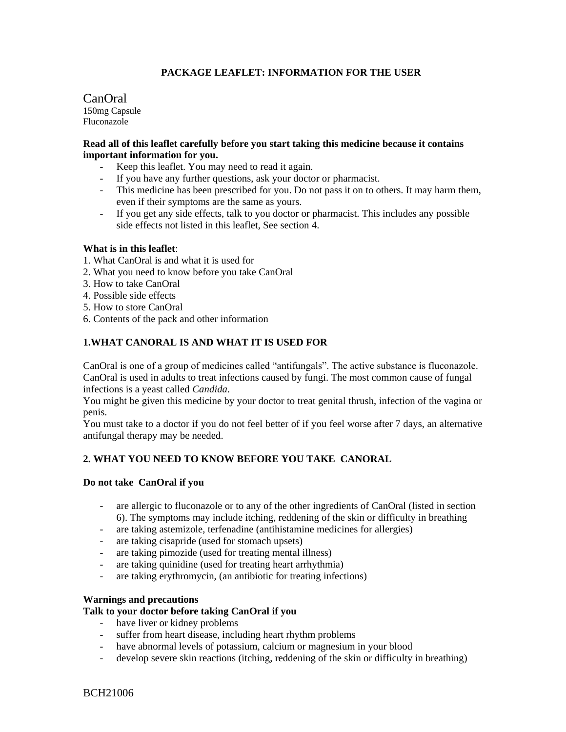# **PACKAGE LEAFLET: INFORMATION FOR THE USER**

CanOral 150mg Capsule Fluconazole

## **Read all of this leaflet carefully before you start taking this medicine because it contains important information for you.**

- Keep this leaflet. You may need to read it again.
- If you have any further questions, ask your doctor or pharmacist.
- This medicine has been prescribed for you. Do not pass it on to others. It may harm them, even if their symptoms are the same as yours.
- If you get any side effects, talk to you doctor or pharmacist. This includes any possible side effects not listed in this leaflet, See section 4.

## **What is in this leaflet**:

- 1. What CanOral is and what it is used for
- 2. What you need to know before you take CanOral
- 3. How to take CanOral
- 4. Possible side effects
- 5. How to store CanOral
- 6. Contents of the pack and other information

# **1.WHAT CANORAL IS AND WHAT IT IS USED FOR**

CanOral is one of a group of medicines called "antifungals". The active substance is fluconazole. CanOral is used in adults to treat infections caused by fungi. The most common cause of fungal infections is a yeast called *Candida*.

You might be given this medicine by your doctor to treat genital thrush, infection of the vagina or penis.

You must take to a doctor if you do not feel better of if you feel worse after 7 days, an alternative antifungal therapy may be needed.

# **2. WHAT YOU NEED TO KNOW BEFORE YOU TAKE CANORAL**

### **Do not take CanOral if you**

- are allergic to fluconazole or to any of the other ingredients of CanOral (listed in section 6). The symptoms may include itching, reddening of the skin or difficulty in breathing
- are taking astemizole, terfenadine (antihistamine medicines for allergies)
- are taking cisapride (used for stomach upsets)
- are taking pimozide (used for treating mental illness)
- are taking quinidine (used for treating heart arrhythmia)
- are taking erythromycin, (an antibiotic for treating infections)

### **Warnings and precautions**

### **Talk to your doctor before taking CanOral if you**

- have liver or kidney problems
- suffer from heart disease, including heart rhythm problems
- have abnormal levels of potassium, calcium or magnesium in your blood
- develop severe skin reactions (itching, reddening of the skin or difficulty in breathing)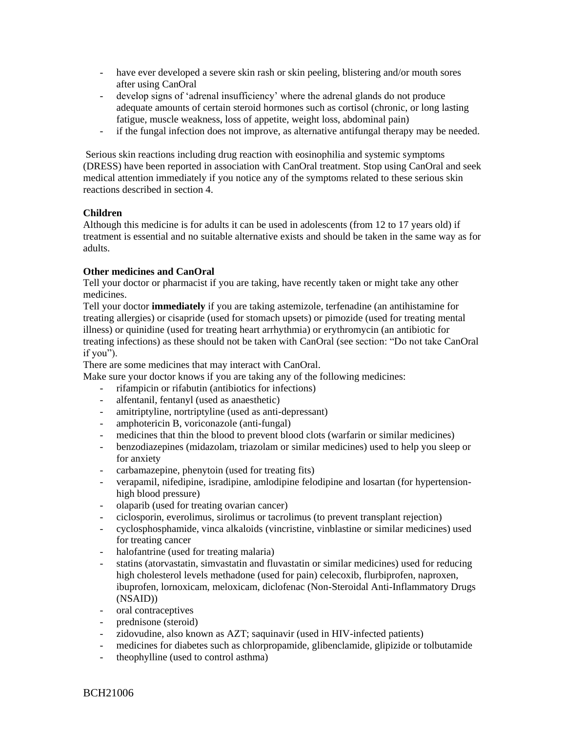- have ever developed a severe skin rash or skin peeling, blistering and/or mouth sores after using CanOral
- develop signs of 'adrenal insufficiency' where the adrenal glands do not produce adequate amounts of certain steroid hormones such as cortisol (chronic, or long lasting fatigue, muscle weakness, loss of appetite, weight loss, abdominal pain)
- if the fungal infection does not improve, as alternative antifungal therapy may be needed.

Serious skin reactions including drug reaction with eosinophilia and systemic symptoms (DRESS) have been reported in association with CanOral treatment. Stop using CanOral and seek medical attention immediately if you notice any of the symptoms related to these serious skin reactions described in section 4.

# **Children**

Although this medicine is for adults it can be used in adolescents (from 12 to 17 years old) if treatment is essential and no suitable alternative exists and should be taken in the same way as for adults.

# **Other medicines and CanOral**

Tell your doctor or pharmacist if you are taking, have recently taken or might take any other medicines.

Tell your doctor **immediately** if you are taking astemizole, terfenadine (an antihistamine for treating allergies) or cisapride (used for stomach upsets) or pimozide (used for treating mental illness) or quinidine (used for treating heart arrhythmia) or erythromycin (an antibiotic for treating infections) as these should not be taken with CanOral (see section: "Do not take CanOral if you").

There are some medicines that may interact with CanOral.

Make sure your doctor knows if you are taking any of the following medicines:

- rifampicin or rifabutin (antibiotics for infections)
- alfentanil, fentanyl (used as anaesthetic)
- amitriptyline, nortriptyline (used as anti-depressant)
- amphotericin B, voriconazole (anti-fungal)
- medicines that thin the blood to prevent blood clots (warfarin or similar medicines)
- benzodiazepines (midazolam, triazolam or similar medicines) used to help you sleep or for anxiety
- carbamazepine, phenytoin (used for treating fits)
- verapamil, nifedipine, isradipine, amlodipine felodipine and losartan (for hypertensionhigh blood pressure)
- olaparib (used for treating ovarian cancer)
- ciclosporin, everolimus, sirolimus or tacrolimus (to prevent transplant rejection)
- cyclosphosphamide, vinca alkaloids (vincristine, vinblastine or similar medicines) used for treating cancer
- halofantrine (used for treating malaria)
- statins (atorvastatin, simvastatin and fluvastatin or similar medicines) used for reducing high cholesterol levels methadone (used for pain) celecoxib, flurbiprofen, naproxen, ibuprofen, lornoxicam, meloxicam, diclofenac (Non-Steroidal Anti-Inflammatory Drugs (NSAID))
- oral contraceptives
- prednisone (steroid)
- zidovudine, also known as AZT; saquinavir (used in HIV-infected patients)
- medicines for diabetes such as chlorpropamide, glibenclamide, glipizide or tolbutamide
- theophylline (used to control asthma)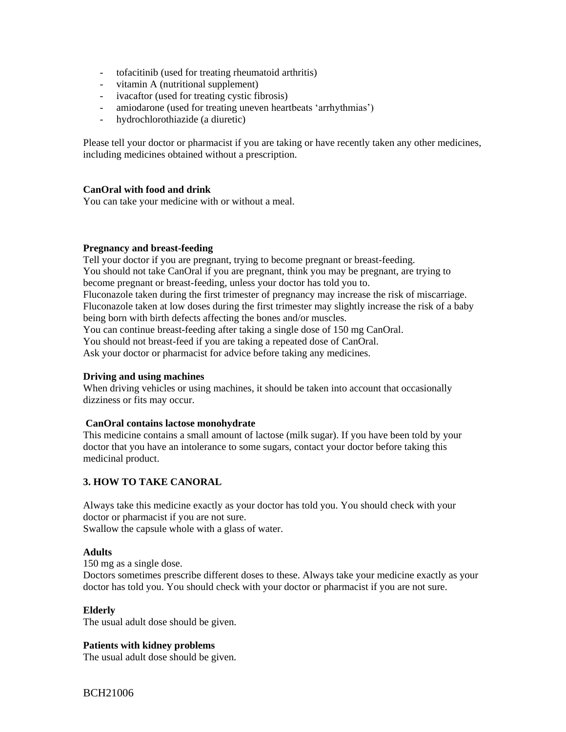- tofacitinib (used for treating rheumatoid arthritis)
- vitamin A (nutritional supplement)
- ivacaftor (used for treating cystic fibrosis)
- amiodarone (used for treating uneven heartbeats 'arrhythmias')
- hydrochlorothiazide (a diuretic)

Please tell your doctor or pharmacist if you are taking or have recently taken any other medicines, including medicines obtained without a prescription.

## **CanOral with food and drink**

You can take your medicine with or without a meal.

### **Pregnancy and breast-feeding**

Tell your doctor if you are pregnant, trying to become pregnant or breast-feeding. You should not take CanOral if you are pregnant, think you may be pregnant, are trying to become pregnant or breast-feeding, unless your doctor has told you to. Fluconazole taken during the first trimester of pregnancy may increase the risk of miscarriage. Fluconazole taken at low doses during the first trimester may slightly increase the risk of a baby being born with birth defects affecting the bones and/or muscles. You can continue breast-feeding after taking a single dose of 150 mg CanOral. You should not breast-feed if you are taking a repeated dose of CanOral. Ask your doctor or pharmacist for advice before taking any medicines.

### **Driving and using machines**

When driving vehicles or using machines, it should be taken into account that occasionally dizziness or fits may occur.

### **CanOral contains lactose monohydrate**

This medicine contains a small amount of lactose (milk sugar). If you have been told by your doctor that you have an intolerance to some sugars, contact your doctor before taking this medicinal product.

# **3. HOW TO TAKE CANORAL**

Always take this medicine exactly as your doctor has told you. You should check with your doctor or pharmacist if you are not sure. Swallow the capsule whole with a glass of water.

### **Adults**

150 mg as a single dose.

Doctors sometimes prescribe different doses to these. Always take your medicine exactly as your doctor has told you. You should check with your doctor or pharmacist if you are not sure.

### **Elderly**

The usual adult dose should be given.

### **Patients with kidney problems**

The usual adult dose should be given.

BCH21006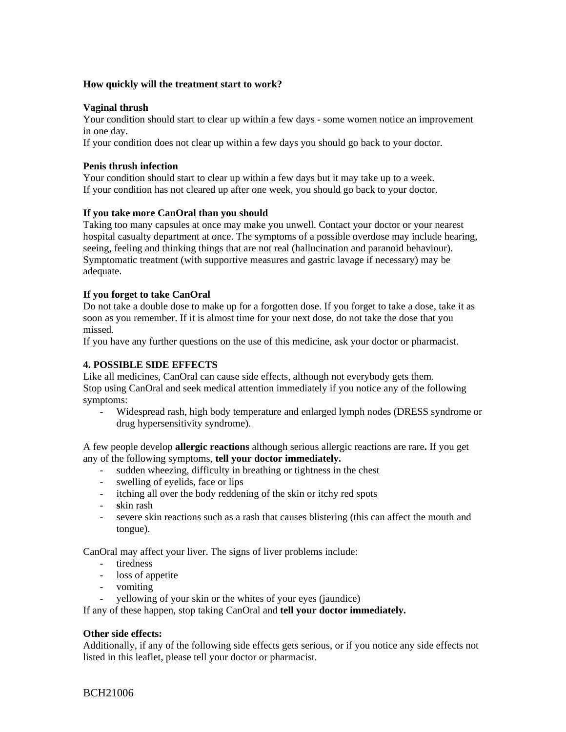## **How quickly will the treatment start to work?**

## **Vaginal thrush**

Your condition should start to clear up within a few days - some women notice an improvement in one day.

If your condition does not clear up within a few days you should go back to your doctor.

## **Penis thrush infection**

Your condition should start to clear up within a few days but it may take up to a week. If your condition has not cleared up after one week, you should go back to your doctor.

## **If you take more CanOral than you should**

Taking too many capsules at once may make you unwell. Contact your doctor or your nearest hospital casualty department at once. The symptoms of a possible overdose may include hearing, seeing, feeling and thinking things that are not real (hallucination and paranoid behaviour). Symptomatic treatment (with supportive measures and gastric lavage if necessary) may be adequate.

## **If you forget to take CanOral**

Do not take a double dose to make up for a forgotten dose. If you forget to take a dose, take it as soon as you remember. If it is almost time for your next dose, do not take the dose that you missed.

If you have any further questions on the use of this medicine, ask your doctor or pharmacist.

## **4. POSSIBLE SIDE EFFECTS**

Like all medicines, CanOral can cause side effects, although not everybody gets them. Stop using CanOral and seek medical attention immediately if you notice any of the following symptoms:

- Widespread rash, high body temperature and enlarged lymph nodes (DRESS syndrome or drug hypersensitivity syndrome).

A few people develop **allergic reactions** although serious allergic reactions are rare**.** If you get any of the following symptoms, **tell your doctor immediately.** 

- sudden wheezing, difficulty in breathing or tightness in the chest
- swelling of eyelids, face or lips
- itching all over the body reddening of the skin or itchy red spots
- **s**kin rash
- severe skin reactions such as a rash that causes blistering (this can affect the mouth and tongue).

CanOral may affect your liver. The signs of liver problems include:

- tiredness
- loss of appetite
- vomiting
- yellowing of your skin or the whites of your eyes (jaundice)

If any of these happen, stop taking CanOral and **tell your doctor immediately.**

### **Other side effects:**

Additionally, if any of the following side effects gets serious, or if you notice any side effects not listed in this leaflet, please tell your doctor or pharmacist.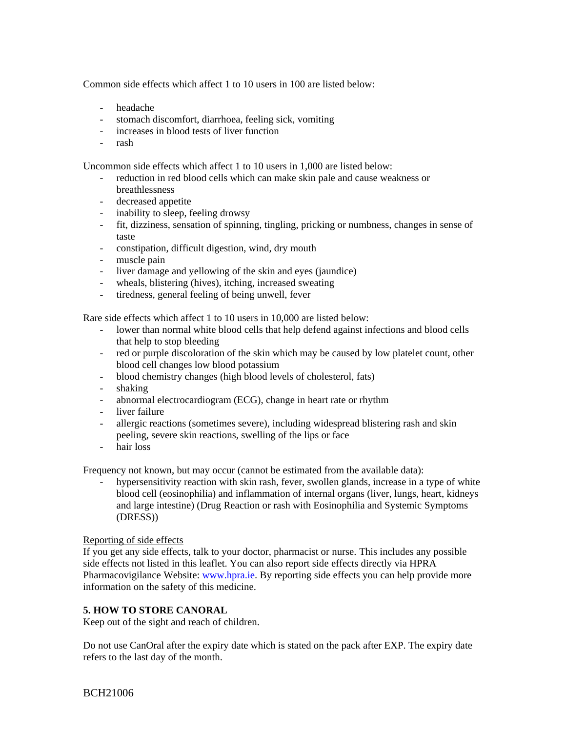Common side effects which affect 1 to 10 users in 100 are listed below:

- headache
- stomach discomfort, diarrhoea, feeling sick, vomiting
- increases in blood tests of liver function
- rash

Uncommon side effects which affect 1 to 10 users in 1,000 are listed below:

- reduction in red blood cells which can make skin pale and cause weakness or breathlessness
- decreased appetite
- inability to sleep, feeling drowsy
- fit, dizziness, sensation of spinning, tingling, pricking or numbness, changes in sense of taste
- constipation, difficult digestion, wind, dry mouth
- muscle pain
- liver damage and yellowing of the skin and eyes (jaundice)
- wheals, blistering (hives), itching, increased sweating
- tiredness, general feeling of being unwell, fever

Rare side effects which affect 1 to 10 users in 10,000 are listed below:

- lower than normal white blood cells that help defend against infections and blood cells that help to stop bleeding
- red or purple discoloration of the skin which may be caused by low platelet count, other blood cell changes low blood potassium
- blood chemistry changes (high blood levels of cholesterol, fats)
- shaking
- abnormal electrocardiogram (ECG), change in heart rate or rhythm
- liver failure
- allergic reactions (sometimes severe), including widespread blistering rash and skin peeling, severe skin reactions, swelling of the lips or face
- hair loss

Frequency not known, but may occur (cannot be estimated from the available data):

hypersensitivity reaction with skin rash, fever, swollen glands, increase in a type of white blood cell (eosinophilia) and inflammation of internal organs (liver, lungs, heart, kidneys and large intestine) (Drug Reaction or rash with Eosinophilia and Systemic Symptoms (DRESS))

# Reporting of side effects

If you get any side effects, talk to your doctor, pharmacist or nurse. This includes any possible side effects not listed in this leaflet. You can also report side effects directly via HPRA Pharmacovigilance Website: [www.hpra.ie.](http://www.hpra.ie/) By reporting side effects you can help provide more information on the safety of this medicine.

# **5. HOW TO STORE CANORAL**

Keep out of the sight and reach of children.

Do not use CanOral after the expiry date which is stated on the pack after EXP. The expiry date refers to the last day of the month.

BCH21006